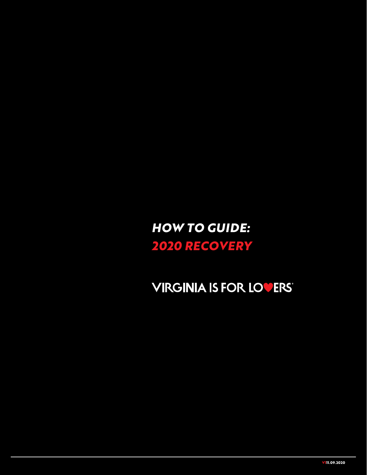# *HOW TO GUIDE: 2020 RECOVERY*

# **VIRGINIA IS FOR LOVERS'**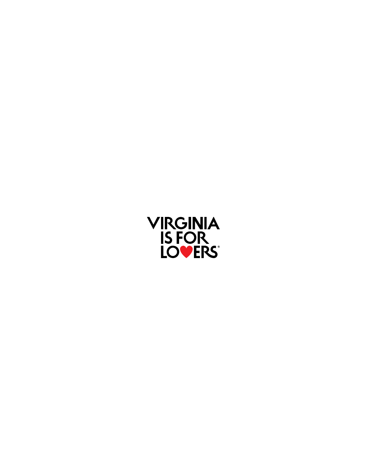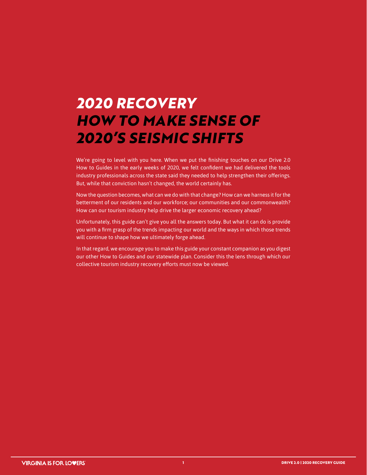# *2020 RECOVERY HOW TO MAKE SENSE OF 2020'S SEISMIC SHIFTS*

We're going to level with you here. When we put the finishing touches on our Drive 2.0 How to Guides in the early weeks of 2020, we felt confident we had delivered the tools industry professionals across the state said they needed to help strengthen their offerings. But, while that conviction hasn't changed, the world certainly has.

Now the question becomes, what can we do with that change? How can we harness it for the betterment of our residents and our workforce; our communities and our commonwealth? How can our tourism industry help drive the larger economic recovery ahead?

Unfortunately, this guide can't give you all the answers today. But what it can do is provide you with a firm grasp of the trends impacting our world and the ways in which those trends will continue to shape how we ultimately forge ahead.

In that regard, we encourage you to make this guide your constant companion as you digest our other How to Guides and our statewide plan. Consider this the lens through which our collective tourism industry recovery efforts must now be viewed.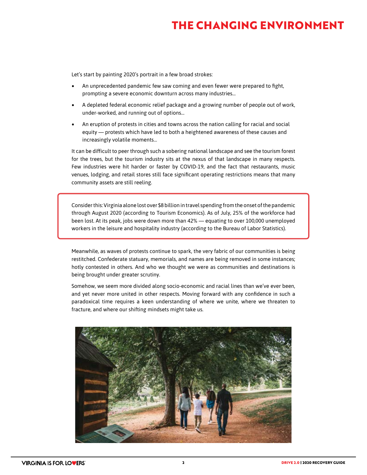# **THE CHANGING ENVIRONMENT**

Let's start by painting 2020's portrait in a few broad strokes:

- An unprecedented pandemic few saw coming and even fewer were prepared to fight, prompting a severe economic downturn across many industries…
- A depleted federal economic relief package and a growing number of people out of work, under-worked, and running out of options…
- An eruption of protests in cities and towns across the nation calling for racial and social equity — protests which have led to both a heightened awareness of these causes and increasingly volatile moments…

It can be difficult to peer through such a sobering national landscape and see the tourism forest for the trees, but the tourism industry sits at the nexus of that landscape in many respects. Few industries were hit harder or faster by COVID-19, and the fact that restaurants, music venues, lodging, and retail stores still face significant operating restrictions means that many community assets are still reeling.

Consider this: Virginia alone lost over \$8 billion in travel spending from the onset of the pandemic through August 2020 (according to Tourism Economics). As of July, 25% of the workforce had been lost. At its peak, jobs were down more than 42% — equating to over 100,000 unemployed workers in the leisure and hospitality industry (according to the Bureau of Labor Statistics).

Meanwhile, as waves of protests continue to spark, the very fabric of our communities is being restitched. Confederate statuary, memorials, and names are being removed in some instances; hotly contested in others. And who we thought we were as communities and destinations is being brought under greater scrutiny.

Somehow, we seem more divided along socio-economic and racial lines than we've ever been, and yet never more united in other respects. Moving forward with any confidence in such a paradoxical time requires a keen understanding of where we unite, where we threaten to fracture, and where our shifting mindsets might take us.

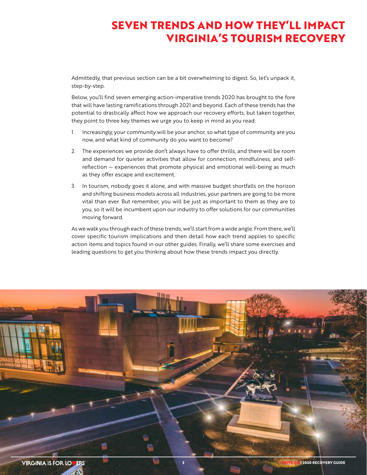Admittedly, that previous section can be a bit overwhelming to digest. So, let's unpack it, step-by-step.

Below, you'll find seven emerging action-imperative trends 2020 has brought to the fore that will have lasting ramifications through 2021 and beyond. Each of these trends has the potential to drastically affect how we approach our recovery efforts, but taken together, they point to three key themes we urge you to keep in mind as you read:

- 1. Increasingly, your community will be your anchor, so what type of community are you now, and what kind of community do you want to become?
- 2. The experiences we provide don't always have to offer thrills, and there will be room and demand for quieter activities that allow for connection, mindfulness, and selfreflection — experiences that promote physical and emotional well-being as much as they offer escape and excitement.
- 3. In tourism, nobody goes it alone, and with massive budget shortfalls on the horizon and shifting business models across all industries, your partners are going to be more vital than ever. But remember, you will be just as important to them as they are to you, so it will be incumbent upon our industry to offer solutions for our communities moving forward.

As we walk you through each of these trends, we'll start from a wide angle. From there, we'll cover specific tourism implications and then detail how each trend applies to specific action items and topics found in our other guides. Finally, we'll share some exercises and leading questions to get you thinking about how these trends impact you directly.

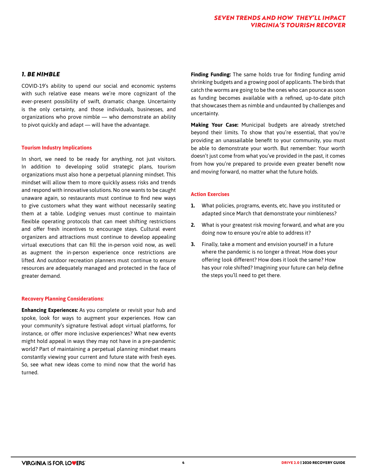## *1. BE NIMBLE*

COVID-19's ability to upend our social and economic systems with such relative ease means we're more cognizant of the ever-present possibility of swift, dramatic change. Uncertainty is the only certainty, and those individuals, businesses, and organizations who prove nimble — who demonstrate an ability to pivot quickly and adapt — will have the advantage.

#### **Tourism Industry Implications**

In short, we need to be ready for anything, not just visitors. In addition to developing solid strategic plans, tourism organizations must also hone a perpetual planning mindset. This mindset will allow them to more quickly assess risks and trends and respond with innovative solutions. No one wants to be caught unaware again, so restaurants must continue to find new ways to give customers what they want without necessarily seating them at a table. Lodging venues must continue to maintain flexible operating protocols that can meet shifting restrictions and offer fresh incentives to encourage stays. Cultural event organizers and attractions must continue to develop appealing virtual executions that can fill the in-person void now, as well as augment the in-person experience once restrictions are lifted. And outdoor recreation planners must continue to ensure resources are adequately managed and protected in the face of greater demand.

#### **Recovery Planning Considerations:**

**Enhancing Experiences:** As you complete or revisit your hub and spoke, look for ways to augment your experiences. How can your community's signature festival adopt virtual platforms, for instance, or offer more inclusive experiences? What new events might hold appeal in ways they may not have in a pre-pandemic world? Part of maintaining a perpetual planning mindset means constantly viewing your current and future state with fresh eyes. So, see what new ideas come to mind now that the world has turned.

**Finding Funding:** The same holds true for finding funding amid shrinking budgets and a growing pool of applicants. The birds that catch the worms are going to be the ones who can pounce as soon as funding becomes available with a refined, up-to-date pitch that showcases them as nimble and undaunted by challenges and uncertainty.

**Making Your Case:** Municipal budgets are already stretched beyond their limits. To show that you're essential, that you're providing an unassailable benefit to your community, you must be able to demonstrate your worth. But remember: Your worth doesn't just come from what you've provided in the past, it comes from how you're prepared to provide even greater benefit now and moving forward, no matter what the future holds.

- **1.** What policies, programs, events, etc. have you instituted or adapted since March that demonstrate your nimbleness?
- **2.** What is your greatest risk moving forward, and what are you doing now to ensure you're able to address it?
- **3.** Finally, take a moment and envision yourself in a future where the pandemic is no longer a threat. How does your offering look different? How does it look the same? How has your role shifted? Imagining your future can help define the steps you'll need to get there.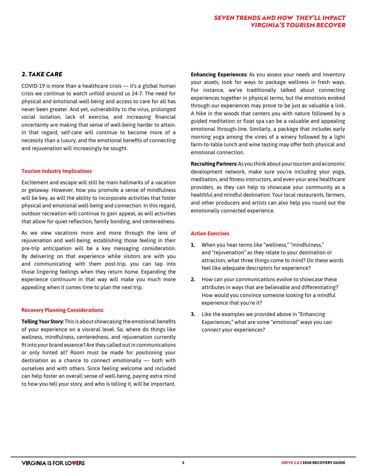# *2. TAKE CARE*

COVID-19 is more than a healthcare crisis — it's a global human crisis we continue to watch unfold around us 24-7. The need for physical and emotional well-being and access to care for all has never been greater. And yet, vulnerability to the virus, prolonged social isolation, lack of exercise, and increasing financial uncertainty are making that sense of well-being harder to attain. In that regard, self-care will continue to become more of a necessity than a luxury, and the emotional benefits of connecting and rejuvenation will increasingly be sought.

#### **Tourism Industry Implications**

Excitement and escape will still be main hallmarks of a vacation or getaway. However, how you promote a sense of mindfulness will be key, as will the ability to incorporate activities that foster physical and emotional well-being and connection. In this regard, outdoor recreation will continue to gain appeal, as will activities that allow for quiet reflection, family bonding, and centeredness.

As we view vacations more and more through the lens of rejuvenation and well-being, establishing those feeling in their pre-trip anticipation will be a key messaging consideration. By delivering on that experience while visitors are with you and communicating with them post-trip, you can tap into those lingering feelings when they return home. Expanding the experience continuum in that way will make you much more appealing when it comes time to plan the next trip.

## **Recovery Planning Considerations:**

**Telling Your Story:** This is about showcasing the emotional benefits of your experience on a visceral level. So, where do things like wellness, mindfulness, centeredness, and rejuvenation currently fit into your brand essence? Are they called out in communications or only hinted at? Room must be made for positioning your destination as a chance to connect emotionally — both with ourselves and with others. Since feeling welcome and included can help foster an overall sense of well-being, paying extra mind to how you tell your story, and who is telling it, will be important.

**Enhancing Experiences:** As you assess your needs and inventory your assets, look for ways to package wellness in fresh ways. For instance, we've traditionally talked about connecting experiences together in physical terms, but the emotions evoked through our experiences may prove to be just as valuable a link. A hike in the woods that centers you with nature followed by a guided meditation or float spa can be a valuable and appealing emotional through-line. Similarly, a package that includes early morning yoga among the vines of a winery followed by a light farm-to-table lunch and wine tasting may offer both physical and emotional connection.

**Recruiting Partners:** As you think about your tourism and economic development network, make sure you're including your yoga, meditation, and fitness instructors, and even your area healthcare providers, as they can help to showcase your community as a healthful and mindful destination. Your local restaurants, farmers, and other producers and artists can also help you round out the emotionally connected experience.

- **1.** When you hear terms like "wellness," "mindfulness," and "rejuvenation" as they relate to your destination or attraction, what three things come to mind? Do these words feel like adequate descriptors for experience?
- **2.** How can your communications evolve to showcase these attributes in ways that are believable and differentiating? How would you convince someone looking for a mindful experience that you're it?
- **3.** Like the examples we provided above in "Enhancing Experiences," what are some "emotional" ways you can connect your experiences?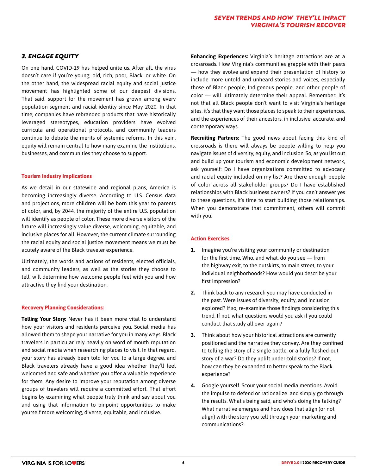# *3. ENGAGE EQUITY*

On one hand, COVID-19 has helped unite us. After all, the virus doesn't care if you're young, old, rich, poor, Black, or white. On the other hand, the widespread racial equity and social justice movement has highlighted some of our deepest divisions. That said, support for the movement has grown among every population segment and racial identity since May 2020. In that time, companies have rebranded products that have historically leveraged stereotypes, education providers have evolved curricula and operational protocols, and community leaders continue to debate the merits of systemic reforms. In this vein, equity will remain central to how many examine the institutions, businesses, and communities they choose to support.

#### **Tourism Industry Implications**

As we detail in our statewide and regional plans, America is becoming increasingly diverse. According to U.S. Census data and projections, more children will be born this year to parents of color, and, by 2044, the majority of the entire U.S. population will identify as people of color. These more diverse visitors of the future will increasingly value diverse, welcoming, equitable, and inclusive places for all. However, the current climate surrounding the racial equity and social justice movement means we must be acutely aware of the Black traveler experience.

Ultimately, the words and actions of residents, elected officials, and community leaders, as well as the stories they choose to tell, will determine how welcome people feel with you and how attractive they find your destination.

#### **Recovery Planning Considerations:**

**Telling Your Story:** Never has it been more vital to understand how your visitors and residents perceive you. Social media has allowed them to shape your narrative for you in many ways. Black travelers in particular rely heavily on word of mouth reputation and social media when researching places to visit. In that regard, your story has already been told for you to a large degree, and Black travelers already have a good idea whether they'll feel welcomed and safe and whether you offer a valuable experience for them. Any desire to improve your reputation among diverse groups of travelers will require a committed effort. That effort begins by examining what people truly think and say about you and using that information to pinpoint opportunities to make yourself more welcoming, diverse, equitable, and inclusive.

**Enhancing Experiences:** Virginia's heritage attractions are at a crossroads. How Virginia's communities grapple with their pasts — how they evolve and expand their presentation of history to include more untold and unheard stories and voices, especially those of Black people, Indigenous people, and other people of color — will ultimately determine their appeal. Remember: It's not that all Black people don't want to visit Virginia's heritage sites, it's that they want those places to speak to their experiences, and the experiences of their ancestors, in inclusive, accurate, and contemporary ways.

**Recruiting Partners:** The good news about facing this kind of crossroads is there will always be people willing to help you navigate issues of diversity, equity, and inclusion. So, as you list out and build up your tourism and economic development network, ask yourself: Do I have organizations committed to advocacy and racial equity included on my list? Are there enough people of color across all stakeholder groups? Do I have established relationships with Black business owners? If you can't answer yes to these questions, it's time to start building those relationships. When you demonstrate that commitment, others will commit with you.

- **1.** Imagine you're visiting your community or destination for the first time. Who, and what, do you see — from the highway exit, to the outskirts, to main street, to your individual neighborhoods? How would you describe your first impression?
- **2.** Think back to any research you may have conducted in the past. Were issues of diversity, equity, and inclusion explored? If so, re-examine those findings considering this trend. If not, what questions would you ask if you could conduct that study all over again?
- **3.** Think about how your historical attractions are currently positioned and the narrative they convey. Are they confined to telling the story of a single battle, or a fully fleshed-out story of a war? Do they uplift under-told stories? If not, how can they be expanded to better speak to the Black experience?
- **4.** Google yourself. Scour your social media mentions. Avoid the impulse to defend or rationalize and simply go through the results. What's being said, and who's doing the talking? What narrative emerges and how does that align (or not align) with the story you tell through your marketing and communications?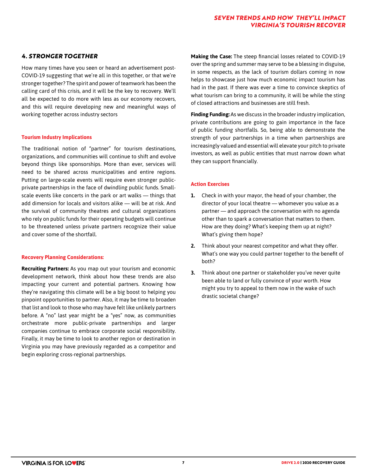# *4. STRONGER TOGETHER*

How many times have you seen or heard an advertisement post-COVID-19 suggesting that we're all in this together, or that we're stronger together? The spirit and power of teamwork has been the calling card of this crisis, and it will be the key to recovery. We'll all be expected to do more with less as our economy recovers, and this will require developing new and meaningful ways of working together across industry sectors

#### **Tourism Industry Implications**

The traditional notion of "partner" for tourism destinations, organizations, and communities will continue to shift and evolve beyond things like sponsorships. More than ever, services will need to be shared across municipalities and entire regions. Putting on large-scale events will require even stronger publicprivate partnerships in the face of dwindling public funds. Smallscale events like concerts in the park or art walks — things that add dimension for locals and visitors alike — will be at risk. And the survival of community theatres and cultural organizations who rely on public funds for their operating budgets will continue to be threatened unless private partners recognize their value and cover some of the shortfall.

#### **Recovery Planning Considerations:**

**Recruiting Partners:** As you map out your tourism and economic development network, think about how these trends are also impacting your current and potential partners. Knowing how they're navigating this climate will be a big boost to helping you pinpoint opportunities to partner. Also, it may be time to broaden that list and look to those who may have felt like unlikely partners before. A "no" last year might be a "yes" now, as communities orchestrate more public-private partnerships and larger companies continue to embrace corporate social responsibility. Finally, it may be time to look to another region or destination in Virginia you may have previously regarded as a competitor and begin exploring cross-regional partnerships.

**Making the Case:** The steep financial losses related to COVID-19 over the spring and summer may serve to be a blessing in disguise, in some respects, as the lack of tourism dollars coming in now helps to showcase just how much economic impact tourism has had in the past. If there was ever a time to convince skeptics of what tourism can bring to a community, it will be while the sting of closed attractions and businesses are still fresh.

**Finding Funding:** As we discuss in the broader industry implication, private contributions are going to gain importance in the face of public funding shortfalls. So, being able to demonstrate the strength of your partnerships in a time when partnerships are increasingly valued and essential will elevate your pitch to private investors, as well as public entities that must narrow down what they can support financially.

- **1.** Check in with your mayor, the head of your chamber, the director of your local theatre — whomever you value as a partner — and approach the conversation with no agenda other than to spark a conversation that matters to them. How are they doing? What's keeping them up at night? What's giving them hope?
- **2.** Think about your nearest competitor and what they offer. What's one way you could partner together to the benefit of both?
- **3.** Think about one partner or stakeholder you've never quite been able to land or fully convince of your worth. How might you try to appeal to them now in the wake of such drastic societal change?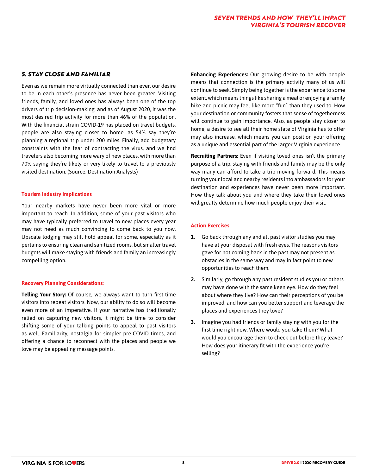# *5. STAY CLOSE AND FAMILIAR*

Even as we remain more virtually connected than ever, our desire to be in each other's presence has never been greater. Visiting friends, family, and loved ones has always been one of the top drivers of trip decision-making, and as of August 2020, it was the most desired trip activity for more than 46% of the population. With the financial strain COVID-19 has placed on travel budgets, people are also staying closer to home, as 54% say they're planning a regional trip under 200 miles. Finally, add budgetary constraints with the fear of contracting the virus, and we find travelers also becoming more wary of new places, with more than 70% saying they're likely or very likely to travel to a previously visited destination. (Source: Destination Analysts)

#### **Tourism Industry Implications**

Your nearby markets have never been more vital or more important to reach. In addition, some of your past visitors who may have typically preferred to travel to new places every year may not need as much convincing to come back to you now. Upscale lodging may still hold appeal for some, especially as it pertains to ensuring clean and sanitized rooms, but smaller travel budgets will make staying with friends and family an increasingly compelling option.

## **Recovery Planning Considerations:**

**Telling Your Story:** Of course, we always want to turn first-time visitors into repeat visitors. Now, our ability to do so will become even more of an imperative. If your narrative has traditionally relied on capturing new visitors, it might be time to consider shifting some of your talking points to appeal to past visitors as well. Familiarity, nostalgia for simpler pre-COVID times, and offering a chance to reconnect with the places and people we love may be appealing message points.

**Enhancing Experiences:** Our growing desire to be with people means that connection is the primary activity many of us will continue to seek. Simply being together is the experience to some extent, which means things like sharing a meal or enjoying a family hike and picnic may feel like more "fun" than they used to. How your destination or community fosters that sense of togetherness will continue to gain importance. Also, as people stay closer to home, a desire to see all their home state of Virginia has to offer may also increase, which means you can position your offering as a unique and essential part of the larger Virginia experience.

**Recruiting Partners:** Even if visiting loved ones isn't the primary purpose of a trip, staying with friends and family may be the only way many can afford to take a trip moving forward. This means turning your local and nearby residents into ambassadors for your destination and experiences have never been more important. How they talk about you and where they take their loved ones will greatly determine how much people enjoy their visit.

- **1.** Go back through any and all past visitor studies you may have at your disposal with fresh eyes. The reasons visitors gave for not coming back in the past may not present as obstacles in the same way and may in fact point to new opportunities to reach them.
- **2.** Similarly, go through any past resident studies you or others may have done with the same keen eye. How do they feel about where they live? How can their perceptions of you be improved, and how can you better support and leverage the places and experiences they love?
- **3.** Imagine you had friends or family staying with you for the first time right now. Where would you take them? What would you encourage them to check out before they leave? How does your itinerary fit with the experience you're selling?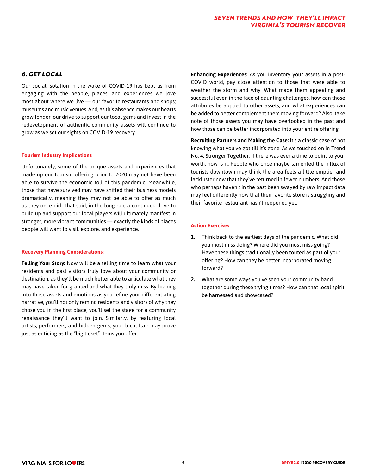# *6. GET LOCAL*

Our social isolation in the wake of COVID-19 has kept us from engaging with the people, places, and experiences we love most about where we live — our favorite restaurants and shops; museums and music venues. And, as this absence makes our hearts grow fonder, our drive to support our local gems and invest in the redevelopment of authentic community assets will continue to grow as we set our sights on COVID-19 recovery.

#### **Tourism Industry Implications**

Unfortunately, some of the unique assets and experiences that made up our tourism offering prior to 2020 may not have been able to survive the economic toll of this pandemic. Meanwhile, those that have survived may have shifted their business models dramatically, meaning they may not be able to offer as much as they once did. That said, in the long run, a continued drive to build up and support our local players will ultimately manifest in stronger, more vibrant communities — exactly the kinds of places people will want to visit, explore, and experience.

#### **Recovery Planning Considerations:**

**Telling Your Story:** Now will be a telling time to learn what your residents and past visitors truly love about your community or destination, as they'll be much better able to articulate what they may have taken for granted and what they truly miss. By leaning into those assets and emotions as you refine your differentiating narrative, you'll not only remind residents and visitors of why they chose you in the first place, you'll set the stage for a community renaissance they'll want to join. Similarly, by featuring local artists, performers, and hidden gems, your local flair may prove just as enticing as the "big ticket" items you offer.

**Enhancing Experiences:** As you inventory your assets in a post-COVID world, pay close attention to those that were able to weather the storm and why. What made them appealing and successful even in the face of daunting challenges, how can those attributes be applied to other assets, and what experiences can be added to better complement them moving forward? Also, take note of those assets you may have overlooked in the past and how those can be better incorporated into your entire offering.

**Recruiting Partners and Making the Case:** It's a classic case of not knowing what you've got till it's gone. As we touched on in Trend No. 4: Stronger Together, if there was ever a time to point to your worth, now is it. People who once maybe lamented the influx of tourists downtown may think the area feels a little emptier and lackluster now that they've returned in fewer numbers. And those who perhaps haven't in the past been swayed by raw impact data may feel differently now that their favorite store is struggling and their favorite restaurant hasn't reopened yet.

- **1.** Think back to the earliest days of the pandemic. What did you most miss doing? Where did you most miss going? Have these things traditionally been touted as part of your offering? How can they be better incorporated moving forward?
- **2.** What are some ways you've seen your community band together during these trying times? How can that local spirit be harnessed and showcased?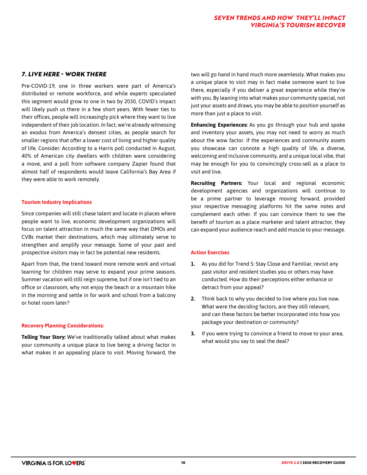# *7. LIVE HERE - WORK THERE*

Pre-COVID-19, one in three workers were part of America's distributed or remote workforce, and while experts speculated this segment would grow to one in two by 2030, COVID's impact will likely push us there in a few short years. With fewer ties to their offices, people will increasingly pick where they want to live independent of their job location. In fact, we're already witnessing an exodus from America's densest cities, as people search for smaller regions that offer a lower cost of living and higher quality of life. Consider: According to a Harris poll conducted in August, 40% of American city dwellers with children were considering a move, and a poll from software company Zapier found that almost half of respondents would leave California's Bay Area if they were able to work remotely.

#### **Tourism Industry Implications**

Since companies will still chase talent and locate in places where people want to live, economic development organizations will focus on talent attraction in much the same way that DMOs and CVBs market their destinations, which may ultimately serve to strengthen and amplify your message. Some of your past and prospective visitors may in fact be potential new residents.

Apart from that, the trend toward more remote work and virtual learning for children may serve to expand your prime seasons. Summer vacation will still reign supreme, but if one isn't tied to an office or classroom, why not enjoy the beach or a mountain hike in the morning and settle in for work and school from a balcony or hotel room later?

#### **Recovery Planning Considerations:**

**Telling Your Story:** We've traditionally talked about what makes your community a unique place to live being a driving factor in what makes it an appealing place to visit. Moving forward, the two will go hand in hand much more seamlessly. What makes you a unique place to visit may in fact make someone want to live there, especially if you deliver a great experience while they're with you. By leaning into what makes your community special, not just your assets and draws, you may be able to position yourself as more than just a place to visit.

**Enhancing Experiences:** As you go through your hub and spoke and inventory your assets, you may not need to worry as much about the wow factor. If the experiences and community assets you showcase can connote a high quality of life, a diverse, welcoming and inclusive community, and a unique local vibe, that may be enough for you to convincingly cross-sell as a place to visit and live.

**Recruiting Partners:** Your local and regional economic development agencies and organizations will continue to be a prime partner to leverage moving forward, provided your respective messaging platforms hit the same notes and complement each other. If you can convince them to see the benefit of tourism as a place marketer and talent attractor, they can expand your audience reach and add muscle to your message.

- **1.** As you did for Trend 5: Stay Close and Familiar, revisit any past visitor and resident studies you or others may have conducted. How do their perceptions either enhance or detract from your appeal?
- **2.** Think back to why you decided to live where you live now. What were the deciding factors, are they still relevant, and can these factors be better incorporated into how you package your destination or community?
- **3.** If you were trying to convince a friend to move to your area, what would you say to seal the deal?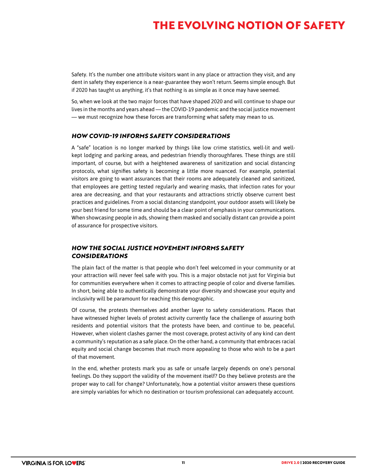# **THE EVOLVING NOTION OF SAFETY**

Safety. It's the number one attribute visitors want in any place or attraction they visit, and any dent in safety they experience is a near-guarantee they won't return. Seems simple enough. But if 2020 has taught us anything, it's that nothing is as simple as it once may have seemed.

So, when we look at the two major forces that have shaped 2020 and will continue to shape our lives in the months and years ahead — the COVID-19 pandemic and the social justice movement — we must recognize how these forces are transforming what safety may mean to us.

## *HOW COVID-19 INFORMS SAFETY CONSIDERATIONS*

A "safe" location is no longer marked by things like low crime statistics, well-lit and wellkept lodging and parking areas, and pedestrian friendly thoroughfares. These things are still important, of course, but with a heightened awareness of sanitization and social distancing protocols, what signifies safety is becoming a little more nuanced. For example, potential visitors are going to want assurances that their rooms are adequately cleaned and sanitized, that employees are getting tested regularly and wearing masks, that infection rates for your area are decreasing, and that your restaurants and attractions strictly observe current best practices and guidelines. From a social distancing standpoint, your outdoor assets will likely be your best friend for some time and should be a clear point of emphasis in your communications. When showcasing people in ads, showing them masked and socially distant can provide a point of assurance for prospective visitors.

# *HOW THE SOCIAL JUSTICE MOVEMENT INFORMS SAFETY CONSIDERATIONS*

The plain fact of the matter is that people who don't feel welcomed in your community or at your attraction will never feel safe with you. This is a major obstacle not just for Virginia but for communities everywhere when it comes to attracting people of color and diverse families. In short, being able to authentically demonstrate your diversity and showcase your equity and inclusivity will be paramount for reaching this demographic.

Of course, the protests themselves add another layer to safety considerations. Places that have witnessed higher levels of protest activity currently face the challenge of assuring both residents and potential visitors that the protests have been, and continue to be, peaceful. However, when violent clashes garner the most coverage, protest activity of any kind can dent a community's reputation as a safe place. On the other hand, a community that embraces racial equity and social change becomes that much more appealing to those who wish to be a part of that movement.

In the end, whether protests mark you as safe or unsafe largely depends on one's personal feelings. Do they support the validity of the movement itself? Do they believe protests are the proper way to call for change? Unfortunately, how a potential visitor answers these questions are simply variables for which no destination or tourism professional can adequately account.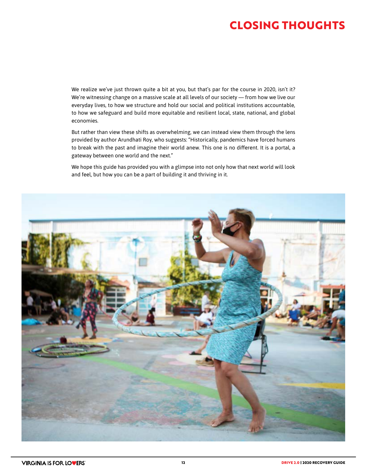# **CLOSING THOUGHTS**

We realize we've just thrown quite a bit at you, but that's par for the course in 2020, isn't it? We're witnessing change on a massive scale at all levels of our society — from how we live our everyday lives, to how we structure and hold our social and political institutions accountable, to how we safeguard and build more equitable and resilient local, state, national, and global economies.

But rather than view these shifts as overwhelming, we can instead view them through the lens provided by author Arundhati Roy, who suggests: "Historically, pandemics have forced humans to break with the past and imagine their world anew. This one is no different. It is a portal, a gateway between one world and the next."

We hope this guide has provided you with a glimpse into not only how that next world will look and feel, but how you can be a part of building it and thriving in it.

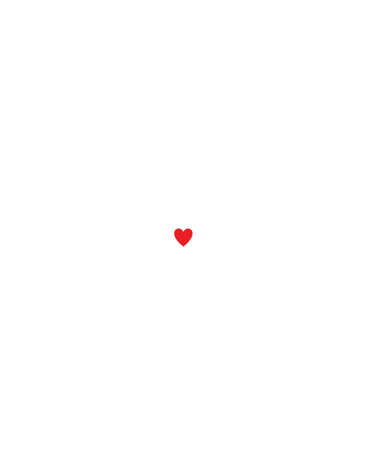